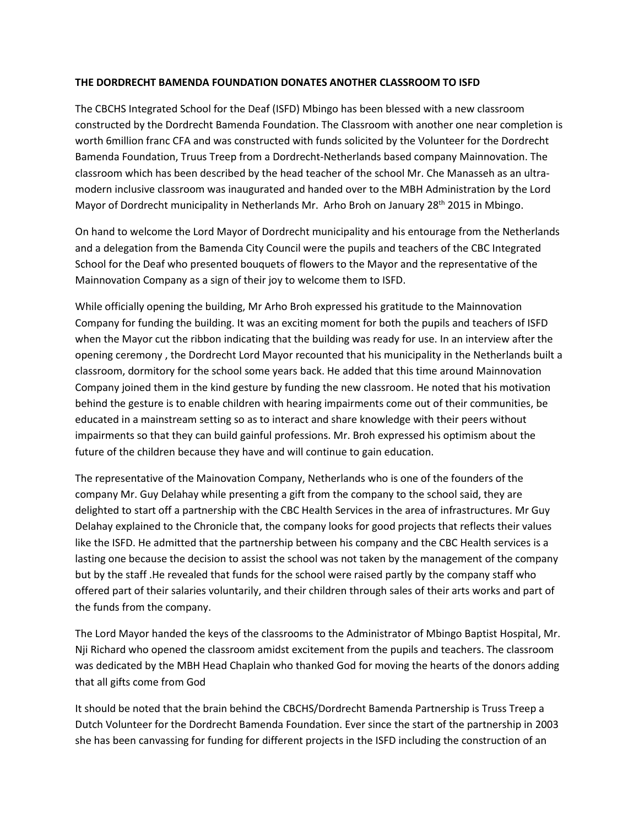## **THE DORDRECHT BAMENDA FOUNDATION DONATES ANOTHER CLASSROOM TO ISFD**

The CBCHS Integrated School for the Deaf (ISFD) Mbingo has been blessed with a new classroom constructed by the Dordrecht Bamenda Foundation. The Classroom with another one near completion is worth 6million franc CFA and was constructed with funds solicited by the Volunteer for the Dordrecht Bamenda Foundation, Truus Treep from a Dordrecht-Netherlands based company Mainnovation. The classroom which has been described by the head teacher of the school Mr. Che Manasseh as an ultramodern inclusive classroom was inaugurated and handed over to the MBH Administration by the Lord Mayor of Dordrecht municipality in Netherlands Mr. Arho Broh on January 28<sup>th</sup> 2015 in Mbingo.

On hand to welcome the Lord Mayor of Dordrecht municipality and his entourage from the Netherlands and a delegation from the Bamenda City Council were the pupils and teachers of the CBC Integrated School for the Deaf who presented bouquets of flowers to the Mayor and the representative of the Mainnovation Company as a sign of their joy to welcome them to ISFD.

While officially opening the building, Mr Arho Broh expressed his gratitude to the Mainnovation Company for funding the building. It was an exciting moment for both the pupils and teachers of ISFD when the Mayor cut the ribbon indicating that the building was ready for use. In an interview after the opening ceremony , the Dordrecht Lord Mayor recounted that his municipality in the Netherlands built a classroom, dormitory for the school some years back. He added that this time around Mainnovation Company joined them in the kind gesture by funding the new classroom. He noted that his motivation behind the gesture is to enable children with hearing impairments come out of their communities, be educated in a mainstream setting so as to interact and share knowledge with their peers without impairments so that they can build gainful professions. Mr. Broh expressed his optimism about the future of the children because they have and will continue to gain education.

The representative of the Mainovation Company, Netherlands who is one of the founders of the company Mr. Guy Delahay while presenting a gift from the company to the school said, they are delighted to start off a partnership with the CBC Health Services in the area of infrastructures. Mr Guy Delahay explained to the Chronicle that, the company looks for good projects that reflects their values like the ISFD. He admitted that the partnership between his company and the CBC Health services is a lasting one because the decision to assist the school was not taken by the management of the company but by the staff .He revealed that funds for the school were raised partly by the company staff who offered part of their salaries voluntarily, and their children through sales of their arts works and part of the funds from the company.

The Lord Mayor handed the keys of the classrooms to the Administrator of Mbingo Baptist Hospital, Mr. Nji Richard who opened the classroom amidst excitement from the pupils and teachers. The classroom was dedicated by the MBH Head Chaplain who thanked God for moving the hearts of the donors adding that all gifts come from God

It should be noted that the brain behind the CBCHS/Dordrecht Bamenda Partnership is Truss Treep a Dutch Volunteer for the Dordrecht Bamenda Foundation. Ever since the start of the partnership in 2003 she has been canvassing for funding for different projects in the ISFD including the construction of an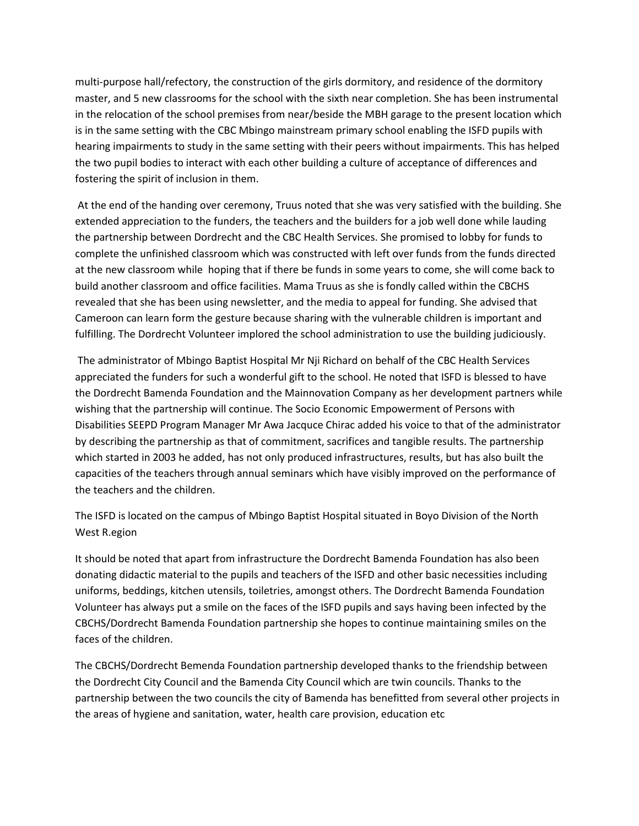multi-purpose hall/refectory, the construction of the girls dormitory, and residence of the dormitory master, and 5 new classrooms for the school with the sixth near completion. She has been instrumental in the relocation of the school premises from near/beside the MBH garage to the present location which is in the same setting with the CBC Mbingo mainstream primary school enabling the ISFD pupils with hearing impairments to study in the same setting with their peers without impairments. This has helped the two pupil bodies to interact with each other building a culture of acceptance of differences and fostering the spirit of inclusion in them.

At the end of the handing over ceremony, Truus noted that she was very satisfied with the building. She extended appreciation to the funders, the teachers and the builders for a job well done while lauding the partnership between Dordrecht and the CBC Health Services. She promised to lobby for funds to complete the unfinished classroom which was constructed with left over funds from the funds directed at the new classroom while hoping that if there be funds in some years to come, she will come back to build another classroom and office facilities. Mama Truus as she is fondly called within the CBCHS revealed that she has been using newsletter, and the media to appeal for funding. She advised that Cameroon can learn form the gesture because sharing with the vulnerable children is important and fulfilling. The Dordrecht Volunteer implored the school administration to use the building judiciously.

The administrator of Mbingo Baptist Hospital Mr Nji Richard on behalf of the CBC Health Services appreciated the funders for such a wonderful gift to the school. He noted that ISFD is blessed to have the Dordrecht Bamenda Foundation and the Mainnovation Company as her development partners while wishing that the partnership will continue. The Socio Economic Empowerment of Persons with Disabilities SEEPD Program Manager Mr Awa Jacquce Chirac added his voice to that of the administrator by describing the partnership as that of commitment, sacrifices and tangible results. The partnership which started in 2003 he added, has not only produced infrastructures, results, but has also built the capacities of the teachers through annual seminars which have visibly improved on the performance of the teachers and the children.

The ISFD is located on the campus of Mbingo Baptist Hospital situated in Boyo Division of the North West R.egion

It should be noted that apart from infrastructure the Dordrecht Bamenda Foundation has also been donating didactic material to the pupils and teachers of the ISFD and other basic necessities including uniforms, beddings, kitchen utensils, toiletries, amongst others. The Dordrecht Bamenda Foundation Volunteer has always put a smile on the faces of the ISFD pupils and says having been infected by the CBCHS/Dordrecht Bamenda Foundation partnership she hopes to continue maintaining smiles on the faces of the children.

The CBCHS/Dordrecht Bemenda Foundation partnership developed thanks to the friendship between the Dordrecht City Council and the Bamenda City Council which are twin councils. Thanks to the partnership between the two councils the city of Bamenda has benefitted from several other projects in the areas of hygiene and sanitation, water, health care provision, education etc